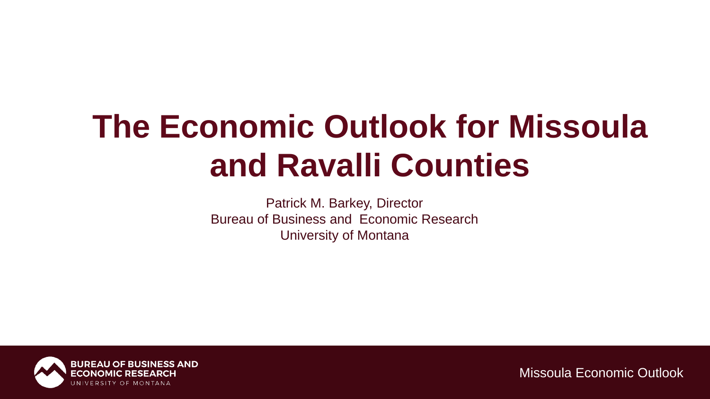# **The Economic Outlook for Missoula and Ravalli Counties**

Patrick M. Barkey, Director Bureau of Business and Economic Research University of Montana

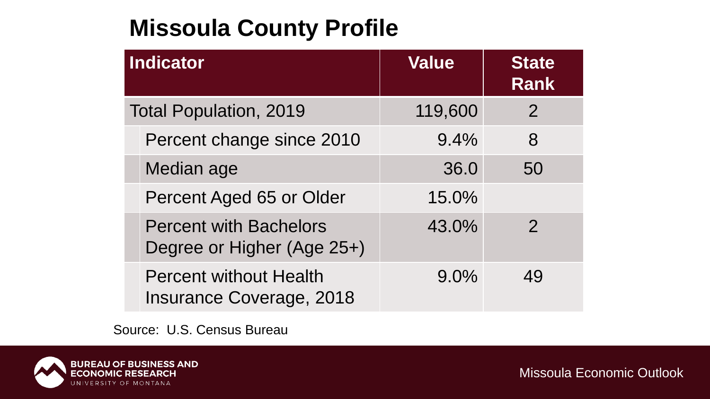## **Missoula County Profile**

| <b>Indicator</b>              |                                                                  | <b>Value</b> | <b>State</b><br><b>Rank</b> |
|-------------------------------|------------------------------------------------------------------|--------------|-----------------------------|
| <b>Total Population, 2019</b> |                                                                  | 119,600      | $\overline{2}$              |
|                               | Percent change since 2010                                        | 9.4%         | 8                           |
|                               | Median age                                                       | 36.0         | 50                          |
|                               | Percent Aged 65 or Older                                         | 15.0%        |                             |
|                               | <b>Percent with Bachelors</b><br>Degree or Higher (Age 25+)      | 43.0%        | $\mathcal{P}$               |
|                               | <b>Percent without Health</b><br><b>Insurance Coverage, 2018</b> | 9.0%         | 49                          |

Source: U.S. Census Bureau

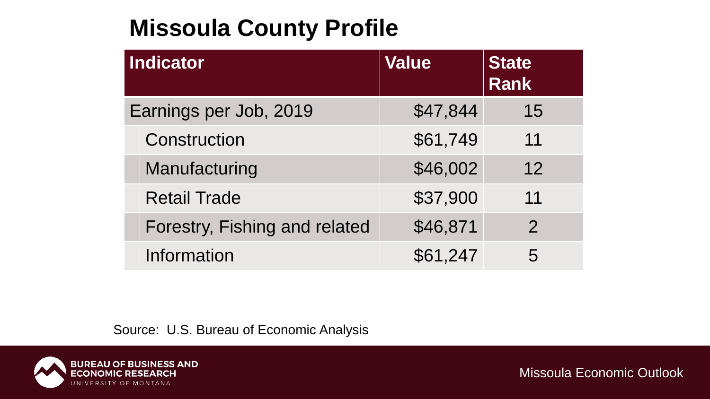## **Missoula County Profile**

| Indicator              |                               | <b>Value</b> | <b>State</b><br><b>Rank</b> |
|------------------------|-------------------------------|--------------|-----------------------------|
| Earnings per Job, 2019 |                               | \$47,844     | 15                          |
|                        | Construction                  | \$61,749     | 11                          |
|                        | Manufacturing                 | \$46,002     | 12                          |
|                        | <b>Retail Trade</b>           | \$37,900     | 11                          |
|                        | Forestry, Fishing and related | \$46,871     | $\overline{2}$              |
|                        | Information                   | \$61,247     | 5                           |

Source: U.S. Bureau of Economic Analysis

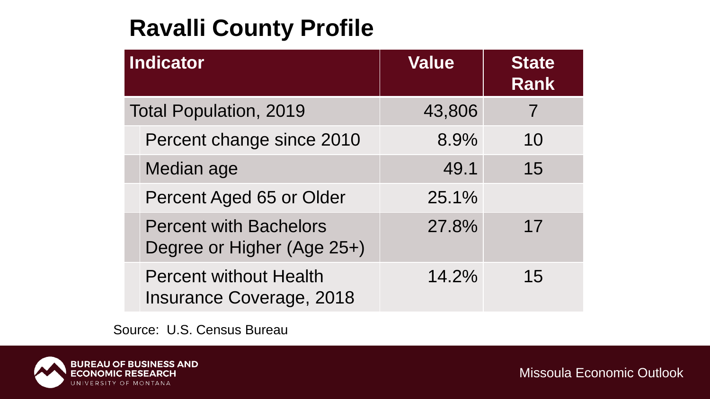## **Ravalli County Profile**

| Indicator                     |                                                                  | <b>Value</b> | <b>State</b><br><b>Rank</b> |
|-------------------------------|------------------------------------------------------------------|--------------|-----------------------------|
| <b>Total Population, 2019</b> |                                                                  | 43,806       |                             |
|                               | Percent change since 2010                                        | 8.9%         | 10                          |
|                               | Median age                                                       | 49.1         | 15                          |
|                               | Percent Aged 65 or Older                                         | 25.1%        |                             |
|                               | <b>Percent with Bachelors</b><br>Degree or Higher (Age 25+)      | 27.8%        | 17                          |
|                               | <b>Percent without Health</b><br><b>Insurance Coverage, 2018</b> | 14.2%        | 15                          |

Source: U.S. Census Bureau

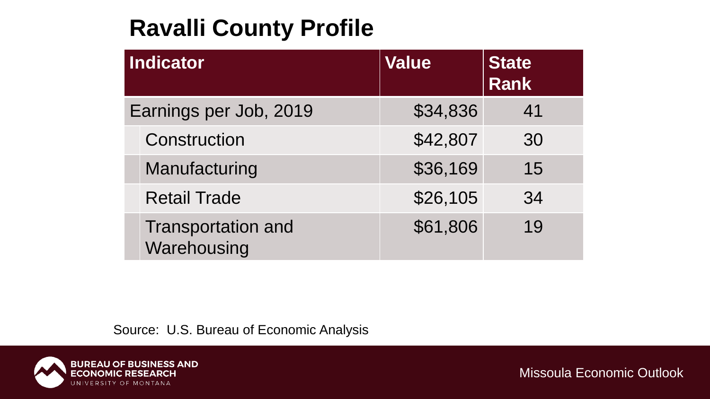### **Ravalli County Profile**

| <b>Indicator</b>       |                                          | <b>Value</b> | <b>State</b><br><b>Rank</b> |
|------------------------|------------------------------------------|--------------|-----------------------------|
| Earnings per Job, 2019 |                                          | \$34,836     | 41                          |
|                        | Construction                             | \$42,807     | 30                          |
|                        | Manufacturing                            | \$36,169     | 15                          |
|                        | <b>Retail Trade</b>                      | \$26,105     | 34                          |
|                        | <b>Transportation and</b><br>Warehousing | \$61,806     | 19                          |

Source: U.S. Bureau of Economic Analysis

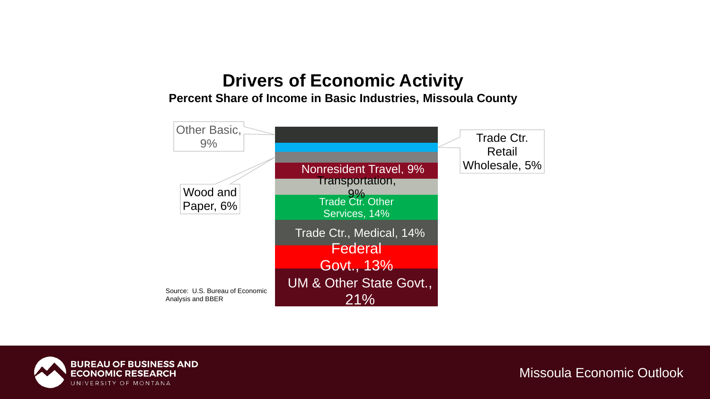### **Drivers of Economic Activity**

#### **Percent Share of Income in Basic Industries, Missoula County**



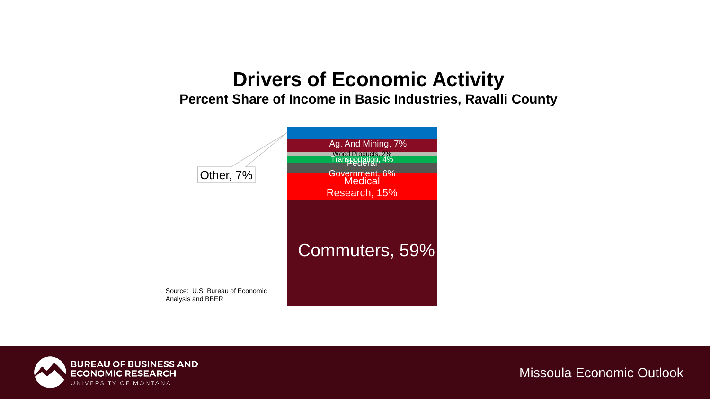### **Drivers of Economic Activity**

**Percent Share of Income in Basic Industries, Ravalli County**



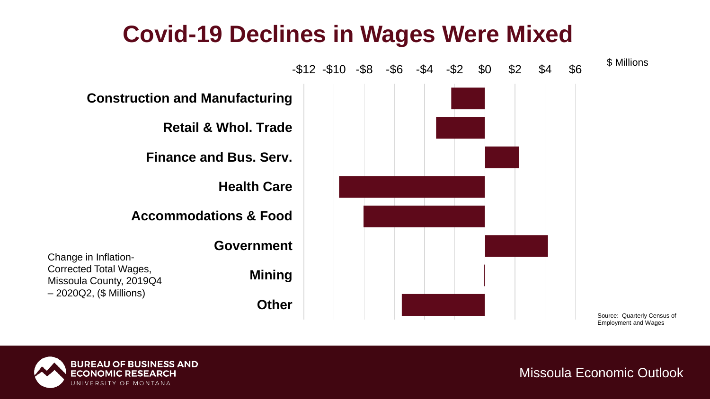### **Covid-19 Declines in Wages Were Mixed**



Source: Quarterly Census of Employment and Wages

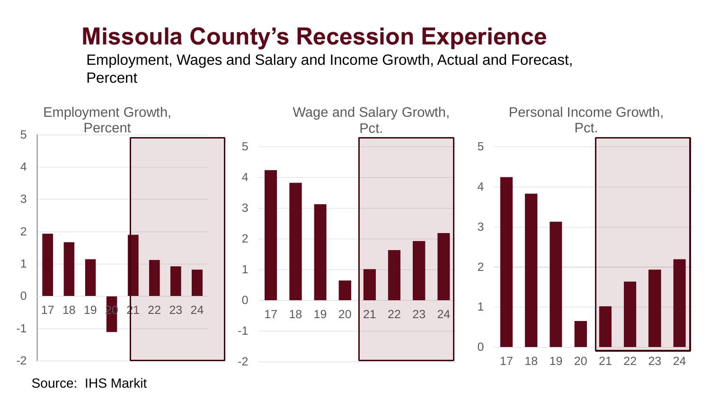### **Missoula County's Recession Experience**

Employment, Wages and Salary and Income Growth, Actual and Forecast, **Percent** 



Source: IHS Markit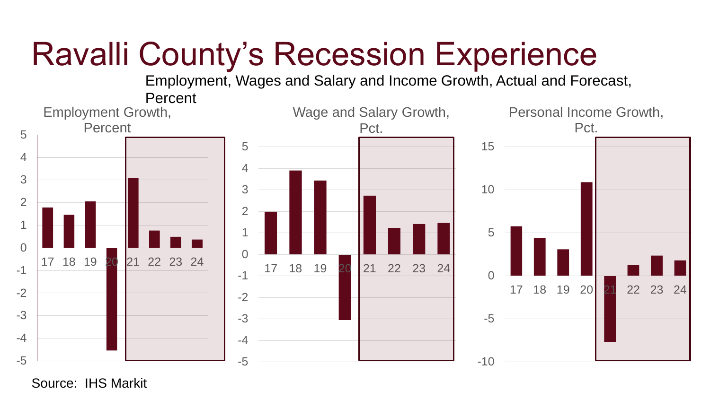# Ravalli County's Recession Experience

Employment, Wages and Salary and Income Growth, Actual and Forecast,



Source: IHS Markit